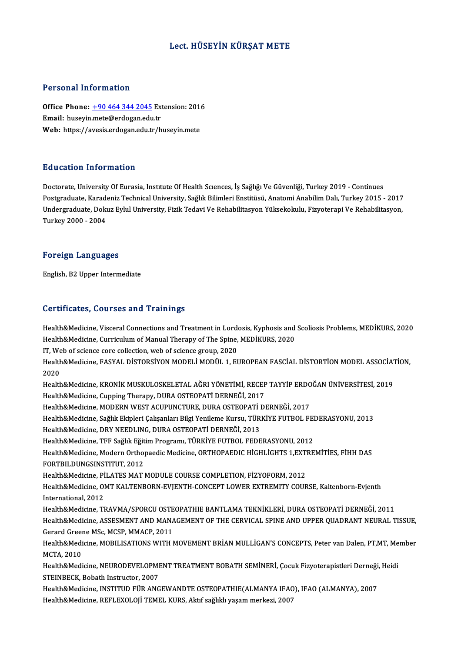## Lect. HÜSEYİN KÜRŞAT METE

## Personal Information

Personal Information<br>Office Phone: <u>+90 464 344 2045</u> Extension: 2016<br>Email: buseyin mete@erdegan.edu.tr Processian and carrier of<br>Office Phone: <u>+90 464 344 2045</u> Ext<br>Email: huseyin[.mete@erdogan.edu](tel:+90 464 344 2045).tr<br>Web: https://avosis.ordogan.edu.tr Office Phone: <u>+90 464 344 2045</u> Extension: 201<br>Email: huseyin.mete@erdogan.edu.tr<br>Web: https://avesis.erdogan.edu.tr/huseyin.mete Web: https://avesis.erdogan.edu.tr/huseyin.mete<br>Education Information

Doctorate, University Of Eurasia, Institute Of Health Sciences, İş Sağlığı Ve Güvenliği, Turkey 2019 - Continues Pu u susesi Timominusion<br>Doctorate, University Of Eurasia, Institute Of Health Sciences, İş Sağlığı Ve Güvenliği, Turkey 2019 - Continues<br>Postgraduate, Karadeniz Technical University, Sağlık Bilimleri Enstitüsü, Anatomi An Doctorate, University Of Eurasia, Institute Of Health Sciences, İş Sağlığı Ve Güvenliği, Turkey 2019 - Continues<br>Postgraduate, Karadeniz Technical University, Sağlık Bilimleri Enstitüsü, Anatomi Anabilim Dalı, Turkey 2015 Postgraduate, Karad<br>Undergraduate, Dokı<br>Turkey 2000 - 2004

## Turkey 2000 - 2004<br>Foreign Languages

English,B2Upper Intermediate

## Certificates, Courses and Trainings

Health&Medicine, Visceral Connections and Treatment in Lordosis, Kyphosis and Scoliosis Problems, MEDİKURS, 2020 Health&Medicine, Curriculum of Manual Therapy of The Spine, MEDİKURS, 2020 Health&Medicine, Visceral Connections and Treatment in Lord<br>Health&Medicine, Curriculum of Manual Therapy of The Spine,<br>IT, Web of science core collection, web of science group, 2020<br>Health&Medicine, EASYAL DiSTORSYON MODE Health&Medicine, Curriculum of Manual Therapy of The Spine, MEDİKURS, 2020<br>IT, Web of science core collection, web of science group, 2020<br>Health&Medicine, FASYAL DİSTORSİYON MODELİ MODÜL 1, EUROPEAN FASCİAL DİSTORTİON MODE IT, We<br>Health<br>2020<br>Health Health&Medicine, FASYAL DİSTORSİYON MODELİ MODÜL 1, EUROPEAN FASCİAL DİSTORTİON MODEL ASSOCİAT<br>2020<br>Health&Medicine, KRONİK MUSKULOSKELETAL AĞRI YÖNETİMİ, RECEP TAYYİP ERDOĞAN ÜNİVERSİTESİ, 2019<br>Health&Medicine, Cunning Th 2020<br>Health&Medicine, KRONİK MUSKULOSKELETAL AĞRI YÖNETİMİ, RECEP TAYYİP ERDOĞAN ÜNİVERSİTESİ, 2019<br>Health&Medicine, Cupping Therapy, DURA OSTEOPATİ DERNEĞİ, 2017 Health&Medicine, KRONİK MUSKULOSKELETAL AĞRI YÖNETİMİ, RECEP TAYYİP ERDO<br>Health&Medicine, Cupping Therapy, DURA OSTEOPATİ DERNEĞİ, 2017<br>Health&Medicine, MODERN WEST ACUPUNCTURE, DURA OSTEOPATİ DERNEĞİ, 2017<br>Health&Medicine Health&Medicine, Cupping Therapy, DURA OSTEOPATİ DERNEĞİ, 2017<br>Health&Medicine, MODERN WEST ACUPUNCTURE, DURA OSTEOPATİ DERNEĞİ, 2017<br>Health&Medicine, Sağlık Ekipleri Çalışanları Bilgi Yenileme Kursu, TÜRKİYE FUTBOL FEDERA Health&Medicine, MODERN WEST ACUPUNCTURE, DURA OSTEOPATİ I<br>Health&Medicine, Sağlık Ekipleri Çalışanları Bilgi Yenileme Kursu, TÜR<br>Health&Medicine, DRY NEEDLING, DURA OSTEOPATİ DERNEĞİ, 2013<br>Health&Medicine, TEE Sağlık Eğit Health&Medicine, Sağlık Ekipleri Çalışanları Bilgi Yenileme Kursu, TÜRKİYE FUTBOL FEI<br>Health&Medicine, DRY NEEDLING, DURA OSTEOPATİ DERNEĞİ, 2013<br>Health&Medicine, TFF Sağlık Eğitim Programı, TÜRKİYE FUTBOL FEDERASYONU, 201 Health&Medicine, DRY NEEDLING, DURA OSTEOPATİ DERNEĞİ, 2013<br>Health&Medicine, TFF Sağlık Eğitim Programı, TÜRKİYE FUTBOL FEDERASYONU, 2012<br>Health&Medicine, Modern Orthopaedic Medicine, ORTHOPAEDIC HİGHLİGHTS 1,EXTREMİTİES, Health&Medicine, TFF Sağlık Eğit<br>Health&Medicine, Modern Ortho<sub>l</sub><br>FORTBILDUNGSINSTITUT, 2012<br>Health&Medicine, Pil ATES MAT l Health&Medicine, Modern Orthopaedic Medicine, ORTHOPAEDIC HIGHLIGHTS 1,EXT<br>FORTBILDUNGSINSTITUT, 2012<br>Health&Medicine, PİLATES MAT MODULE COURSE COMPLETION, FİZYOFORM, 2012<br>Health&Medicine, OMT KALTENBORN, EVIENTH CONCEPT FORTBILDUNGSINSTITUT, 2012<br>Health&Medicine, PİLATES MAT MODULE COURSE COMPLETION, FİZYOFORM, 2012<br>Health&Medicine, OMT KALTENBORN-EVJENTH-CONCEPT LOWER EXTREMITY COURSE, Kaltenborn-Evjenth<br>International 2012 Health&Medicine, PI<br>Health&Medicine, OI<br>International, 2012<br>Health&Medicine, TI Health&Medicine, OMT KALTENBORN-EVJENTH-CONCEPT LOWER EXTREMITY COURSE, Kaltenborn-Evjenth<br>International, 2012<br>Health&Medicine, TRAVMA/SPORCU OSTEOPATHIE BANTLAMA TEKNİKLERİ, DURA OSTEOPATİ DERNEĞİ, 2011<br>Health&Medicine, A International, 2012<br>Health&Medicine, TRAVMA/SPORCU OSTEOPATHIE BANTLAMA TEKNİKLERİ, DURA OSTEOPATİ DERNEĞİ, 2011<br>Health&Medicine, ASSESMENT AND MANAGEMENT OF THE CERVICAL SPINE AND UPPER QUADRANT NEURAL TISSUE,<br>Cerard Crea Health&Medicine, TRAVMA/SPORCU OSTE<br>Health&Medicine, ASSESMENT AND MANA<br>Gerard Greene MSc, MCSP, MMACP, 2011<br>Health&Medicine, MOPU ISATIONS WITH 1 Health&Medicine, ASSESMENT AND MANAGEMENT OF THE CERVICAL SPINE AND UPPER QUADRANT NEURAL TISSUE,<br>Gerard Greene MSc, MCSP, MMACP, 2011<br>Health&Medicine, MOBILISATIONS WITH MOVEMENT BRİAN MULLİGAN'S CONCEPTS, Peter van Dalen Gerard Gree<mark>r</mark><br>Health&Medi<br>MCTA, 2010<br>Health&Medi Health&Medicine, MOBILISATIONS WITH MOVEMENT BRİAN MULLİGAN'S CONCEPTS, Peter van Dalen, PT,MT, Me<br>MCTA, 2010<br>Health&Medicine, NEURODEVELOPMENT TREATMENT BOBATH SEMİNERİ, Çocuk Fizyoterapistleri Derneği, Heidi<br>STEINBECK, B MCTA, 2010<br>Health&Medicine, NEURODEVELOPME<br>STEINBECK, Bobath Instructor, 2007<br>Health&Medicine, INSTITUD EUP ANG Health&Medicine, NEURODEVELOPMENT TREATMENT BOBATH SEMİNERİ, Çocuk Fizyoterapistleri Derneği,<br>STEINBECK, Bobath Instructor, 2007<br>Health&Medicine, INSTITUD FÜR ANGEWANDTE OSTEOPATHIE(ALMANYA IFAO), IFAO (ALMANYA), 2007<br>Heal STEINBECK, Bobath Instructor, 2007<br>Health&Medicine, INSTITUD FÜR ANGEWANDTE OSTEOPATHIE(ALMANYA IFAO), IFAO (ALMANYA), 2007<br>Health&Medicine, REFLEXOLOJİ TEMEL KURS, Aktıf sağlıklı yaşam merkezi, 2007